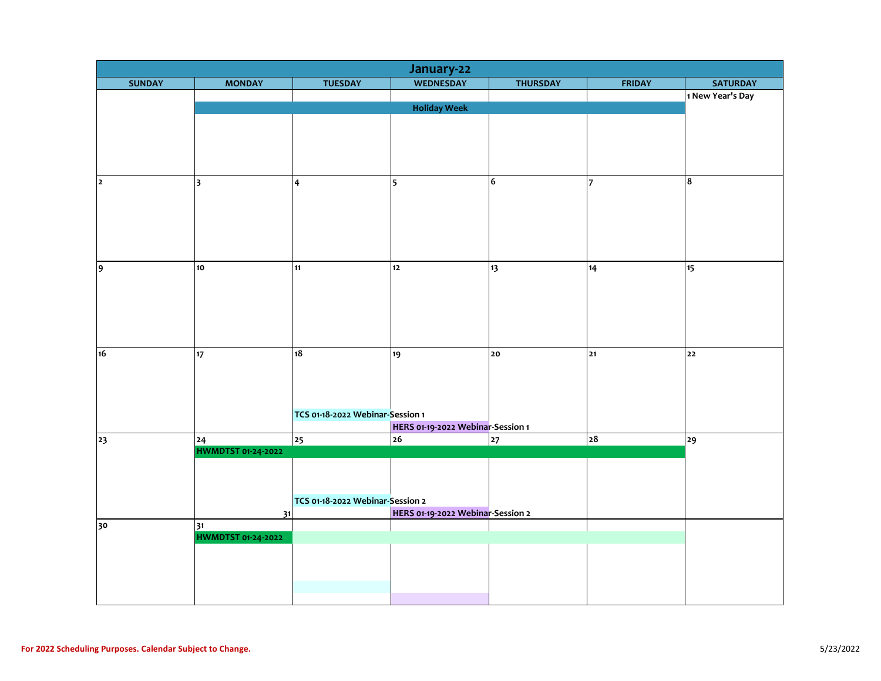| January-22     |                                 |                                  |                                   |                 |                |                  |  |  |
|----------------|---------------------------------|----------------------------------|-----------------------------------|-----------------|----------------|------------------|--|--|
| <b>SUNDAY</b>  | <b>MONDAY</b>                   | <b>TUESDAY</b>                   | <b>WEDNESDAY</b>                  | <b>THURSDAY</b> | <b>FRIDAY</b>  | <b>SATURDAY</b>  |  |  |
|                |                                 |                                  |                                   |                 |                | 1 New Year's Day |  |  |
|                |                                 |                                  | <b>Holiday Week</b>               |                 |                |                  |  |  |
|                |                                 |                                  |                                   |                 |                |                  |  |  |
|                |                                 |                                  |                                   |                 |                |                  |  |  |
|                |                                 |                                  |                                   |                 |                |                  |  |  |
|                |                                 |                                  |                                   |                 |                |                  |  |  |
| $\overline{2}$ | $\overline{\mathbf{3}}$         | $\overline{\mathbf{4}}$          | $\overline{\phantom{a}}$          | 6               | $\overline{7}$ | 8                |  |  |
|                |                                 |                                  |                                   |                 |                |                  |  |  |
|                |                                 |                                  |                                   |                 |                |                  |  |  |
|                |                                 |                                  |                                   |                 |                |                  |  |  |
|                |                                 |                                  |                                   |                 |                |                  |  |  |
|                |                                 |                                  |                                   |                 |                |                  |  |  |
|                |                                 |                                  |                                   |                 |                |                  |  |  |
| 9              | 10                              | 11                               | $12$                              | 13              | 14             | 15               |  |  |
|                |                                 |                                  |                                   |                 |                |                  |  |  |
|                |                                 |                                  |                                   |                 |                |                  |  |  |
|                |                                 |                                  |                                   |                 |                |                  |  |  |
|                |                                 |                                  |                                   |                 |                |                  |  |  |
|                |                                 |                                  |                                   |                 |                |                  |  |  |
| 16             | 17                              | 18                               | 19                                | 20              | 21             | 22               |  |  |
|                |                                 |                                  |                                   |                 |                |                  |  |  |
|                |                                 |                                  |                                   |                 |                |                  |  |  |
|                |                                 |                                  |                                   |                 |                |                  |  |  |
|                |                                 | TCS 01-18-2022 Webinar-Session 1 |                                   |                 |                |                  |  |  |
|                |                                 |                                  | HERS 01-19-2022 Webinar-Session 1 |                 |                |                  |  |  |
| 23             | 24                              | 25                               | $\overline{26}$                   | 27              | 28             | 29               |  |  |
|                | <b>HWMDTST 01-24-2022</b>       |                                  |                                   |                 |                |                  |  |  |
|                |                                 |                                  |                                   |                 |                |                  |  |  |
|                |                                 |                                  |                                   |                 |                |                  |  |  |
|                |                                 |                                  |                                   |                 |                |                  |  |  |
|                |                                 | TCS 01-18-2022 Webinar-Session 2 |                                   |                 |                |                  |  |  |
|                | 31                              |                                  | HERS 01-19-2022 Webinar-Session 2 |                 |                |                  |  |  |
| 30             | 31<br><b>HWMDTST 01-24-2022</b> |                                  |                                   |                 |                |                  |  |  |
|                |                                 |                                  |                                   |                 |                |                  |  |  |
|                |                                 |                                  |                                   |                 |                |                  |  |  |
|                |                                 |                                  |                                   |                 |                |                  |  |  |
|                |                                 |                                  |                                   |                 |                |                  |  |  |
|                |                                 |                                  |                                   |                 |                |                  |  |  |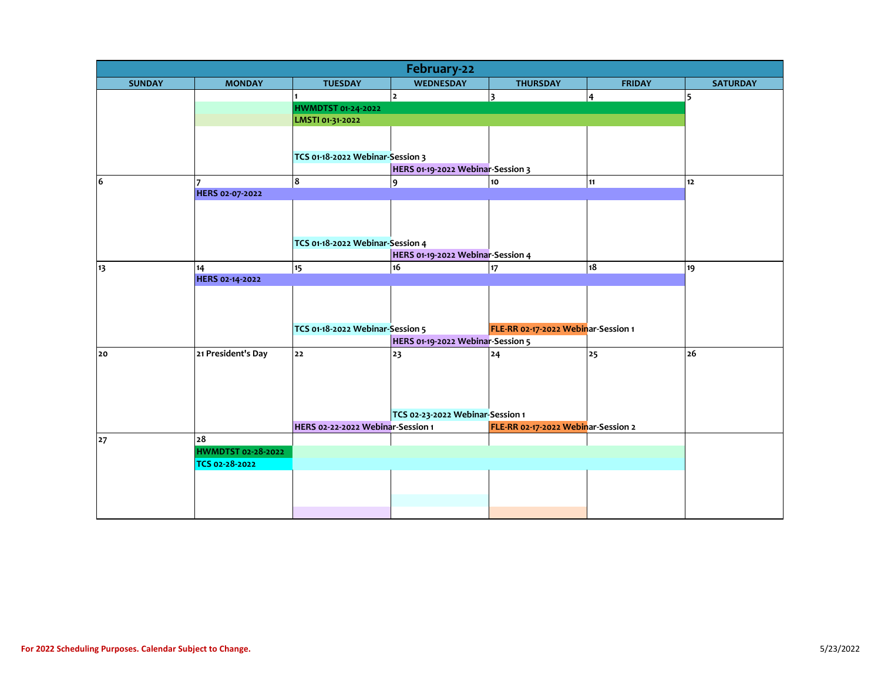| February-22   |                                 |                                                                         |                                   |                                     |               |                 |  |  |
|---------------|---------------------------------|-------------------------------------------------------------------------|-----------------------------------|-------------------------------------|---------------|-----------------|--|--|
| <b>SUNDAY</b> | <b>MONDAY</b>                   | <b>TUESDAY</b>                                                          | <b>WEDNESDAY</b>                  | <b>THURSDAY</b>                     | <b>FRIDAY</b> | <b>SATURDAY</b> |  |  |
|               |                                 |                                                                         | $\overline{2}$                    | 3                                   | 4             | 5               |  |  |
|               |                                 | HWMDTST 01-24-2022                                                      |                                   |                                     |               |                 |  |  |
|               |                                 | LMSTI 01-31-2022                                                        |                                   |                                     |               |                 |  |  |
|               |                                 |                                                                         |                                   |                                     |               |                 |  |  |
|               |                                 |                                                                         |                                   |                                     |               |                 |  |  |
|               |                                 | TCS 01-18-2022 Webinar-Session 3                                        |                                   |                                     |               |                 |  |  |
|               |                                 |                                                                         | HERS 01-19-2022 Webinar-Session 3 |                                     |               |                 |  |  |
| 6             | 17                              | 8                                                                       | $\overline{9}$                    | 10 <sub>o</sub>                     | 11            | 12              |  |  |
|               | HERS 02-07-2022                 |                                                                         |                                   |                                     |               |                 |  |  |
|               |                                 |                                                                         |                                   |                                     |               |                 |  |  |
|               |                                 |                                                                         |                                   |                                     |               |                 |  |  |
|               |                                 | TCS 01-18-2022 Webinar-Session 4                                        |                                   |                                     |               |                 |  |  |
|               |                                 |                                                                         | HERS 01-19-2022 Webinar-Session 4 |                                     |               |                 |  |  |
| 13            | 14                              | 15                                                                      | 16                                | 17                                  | 18            | 19              |  |  |
|               | HERS 02-14-2022                 |                                                                         |                                   |                                     |               |                 |  |  |
|               |                                 |                                                                         |                                   |                                     |               |                 |  |  |
|               |                                 |                                                                         |                                   |                                     |               |                 |  |  |
|               |                                 |                                                                         |                                   |                                     |               |                 |  |  |
|               |                                 | TCS 01-18-2022 Webinar-Session 5<br>FLE-RR 02-17-2022 Webinar-Session 1 |                                   |                                     |               |                 |  |  |
|               |                                 |                                                                         | HERS 01-19-2022 Webinar-Session 5 |                                     |               |                 |  |  |
| 20            | 21 President's Day              | 22                                                                      | 23                                | 24                                  | 25            | 26              |  |  |
|               |                                 |                                                                         |                                   |                                     |               |                 |  |  |
|               |                                 |                                                                         |                                   |                                     |               |                 |  |  |
|               |                                 |                                                                         |                                   |                                     |               |                 |  |  |
|               |                                 |                                                                         |                                   |                                     |               |                 |  |  |
|               |                                 |                                                                         | TCS 02-23-2022 Webinar-Session 1  |                                     |               |                 |  |  |
|               |                                 | HERS 02-22-2022 Webinar-Session 1                                       |                                   | FLE-RR 02-17-2022 Webinar-Session 2 |               |                 |  |  |
| 27            | 28<br><b>HWMDTST 02-28-2022</b> |                                                                         |                                   |                                     |               |                 |  |  |
|               | TCS 02-28-2022                  |                                                                         |                                   |                                     |               |                 |  |  |
|               |                                 |                                                                         |                                   |                                     |               |                 |  |  |
|               |                                 |                                                                         |                                   |                                     |               |                 |  |  |
|               |                                 |                                                                         |                                   |                                     |               |                 |  |  |
|               |                                 |                                                                         |                                   |                                     |               |                 |  |  |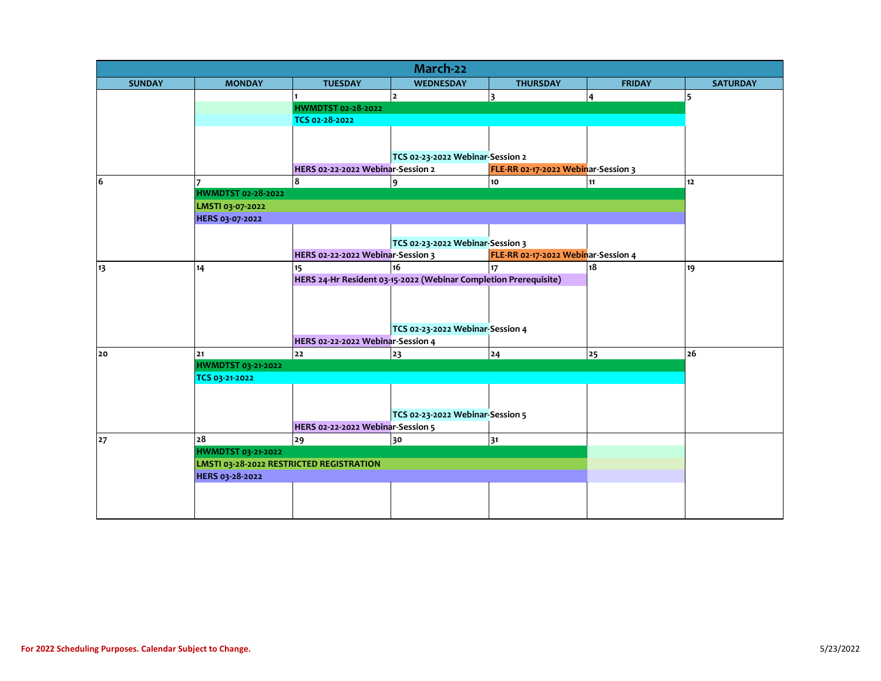| March-22      |                                          |                                   |                                                                  |                                     |                 |                 |  |  |  |
|---------------|------------------------------------------|-----------------------------------|------------------------------------------------------------------|-------------------------------------|-----------------|-----------------|--|--|--|
| <b>SUNDAY</b> | <b>MONDAY</b>                            | <b>TUESDAY</b>                    | <b>WEDNESDAY</b>                                                 | <b>THURSDAY</b>                     | <b>FRIDAY</b>   | <b>SATURDAY</b> |  |  |  |
|               |                                          |                                   | $\overline{2}$                                                   | 3                                   | 4               | 5               |  |  |  |
|               |                                          | HWMDTST 02-28-2022                |                                                                  |                                     |                 |                 |  |  |  |
|               |                                          | TCS 02-28-2022                    |                                                                  |                                     |                 |                 |  |  |  |
|               |                                          |                                   |                                                                  |                                     |                 |                 |  |  |  |
|               |                                          |                                   |                                                                  |                                     |                 |                 |  |  |  |
|               |                                          |                                   | TCS 02-23-2022 Webinar-Session 2                                 |                                     |                 |                 |  |  |  |
|               |                                          | HERS 02-22-2022 Webinar-Session 2 |                                                                  | FLE-RR 02-17-2022 Webinar-Session 3 |                 |                 |  |  |  |
| 6             |                                          | 8                                 | 9                                                                | 10                                  | 11              | 12              |  |  |  |
|               | HWMDTST 02-28-2022                       |                                   |                                                                  |                                     |                 |                 |  |  |  |
|               |                                          | LMSTI 03-07-2022                  |                                                                  |                                     |                 |                 |  |  |  |
|               | HERS 03-07-2022                          |                                   |                                                                  |                                     |                 |                 |  |  |  |
|               |                                          |                                   |                                                                  |                                     |                 |                 |  |  |  |
|               |                                          |                                   | TCS 02-23-2022 Webinar-Session 3                                 |                                     |                 |                 |  |  |  |
|               |                                          | HERS 02-22-2022 Webinar-Session 3 |                                                                  | FLE-RR 02-17-2022 Webinar-Session 4 |                 |                 |  |  |  |
| 13            | 14                                       | 15                                | 16                                                               | 17                                  | $\overline{18}$ | 19              |  |  |  |
|               |                                          |                                   | HERS 24-Hr Resident 03-15-2022 (Webinar Completion Prerequisite) |                                     |                 |                 |  |  |  |
|               |                                          |                                   |                                                                  |                                     |                 |                 |  |  |  |
|               |                                          |                                   |                                                                  |                                     |                 |                 |  |  |  |
|               |                                          |                                   |                                                                  |                                     |                 |                 |  |  |  |
|               |                                          |                                   | TCS 02-23-2022 Webinar-Session 4                                 |                                     |                 |                 |  |  |  |
|               |                                          | HERS 02-22-2022 Webinar-Session 4 |                                                                  |                                     |                 |                 |  |  |  |
| 20            | 21                                       | 22                                | 23                                                               | 24                                  | 25              | 26              |  |  |  |
|               | <b>HWMDTST 03-21-2022</b>                |                                   |                                                                  |                                     |                 |                 |  |  |  |
|               | TCS 03-21-2022                           |                                   |                                                                  |                                     |                 |                 |  |  |  |
|               |                                          |                                   |                                                                  |                                     |                 |                 |  |  |  |
|               |                                          |                                   |                                                                  |                                     |                 |                 |  |  |  |
|               |                                          |                                   | TCS 02-23-2022 Webinar-Session 5                                 |                                     |                 |                 |  |  |  |
|               |                                          | HERS 02-22-2022 Webinar-Session 5 |                                                                  |                                     |                 |                 |  |  |  |
| 27            | 28                                       | 29                                | 30                                                               | 31                                  |                 |                 |  |  |  |
|               | HWMDTST 03-21-2022                       |                                   |                                                                  |                                     |                 |                 |  |  |  |
|               | LMSTI 03-28-2022 RESTRICTED REGISTRATION |                                   |                                                                  |                                     |                 |                 |  |  |  |
|               | HERS 03-28-2022                          |                                   |                                                                  |                                     |                 |                 |  |  |  |
|               |                                          |                                   |                                                                  |                                     |                 |                 |  |  |  |
|               |                                          |                                   |                                                                  |                                     |                 |                 |  |  |  |
|               |                                          |                                   |                                                                  |                                     |                 |                 |  |  |  |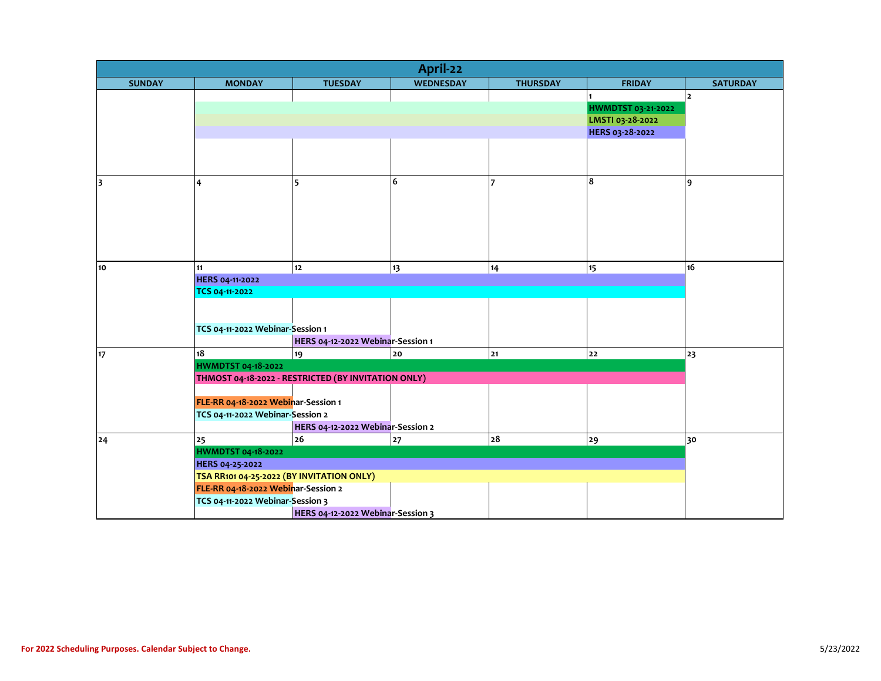| April-22                |                                                                                  |                                                     |                  |                 |                    |                 |  |  |  |
|-------------------------|----------------------------------------------------------------------------------|-----------------------------------------------------|------------------|-----------------|--------------------|-----------------|--|--|--|
| <b>SUNDAY</b>           | <b>MONDAY</b>                                                                    | <b>TUESDAY</b>                                      | <b>WEDNESDAY</b> | <b>THURSDAY</b> | <b>FRIDAY</b>      | <b>SATURDAY</b> |  |  |  |
|                         |                                                                                  |                                                     |                  |                 |                    | $\overline{2}$  |  |  |  |
|                         |                                                                                  |                                                     |                  |                 | HWMDTST 03-21-2022 |                 |  |  |  |
|                         |                                                                                  |                                                     | LMSTI 03-28-2022 |                 |                    |                 |  |  |  |
|                         |                                                                                  |                                                     |                  | HERS 03-28-2022 |                    |                 |  |  |  |
|                         |                                                                                  |                                                     |                  |                 |                    |                 |  |  |  |
|                         |                                                                                  |                                                     |                  |                 |                    |                 |  |  |  |
|                         |                                                                                  |                                                     |                  |                 |                    |                 |  |  |  |
| $\overline{\mathbf{3}}$ | 4                                                                                | 5                                                   | 6                | 7               | 8                  | 9               |  |  |  |
|                         |                                                                                  |                                                     |                  |                 |                    |                 |  |  |  |
|                         |                                                                                  |                                                     |                  |                 |                    |                 |  |  |  |
|                         |                                                                                  |                                                     |                  |                 |                    |                 |  |  |  |
|                         |                                                                                  |                                                     |                  |                 |                    |                 |  |  |  |
|                         |                                                                                  |                                                     |                  |                 |                    |                 |  |  |  |
|                         |                                                                                  |                                                     |                  |                 |                    |                 |  |  |  |
| 10                      | 11                                                                               | $12$                                                | 13               | 14              | 15                 | 16              |  |  |  |
|                         | HERS 04-11-2022                                                                  |                                                     |                  |                 |                    |                 |  |  |  |
|                         | TCS 04-11-2022                                                                   |                                                     |                  |                 |                    |                 |  |  |  |
|                         |                                                                                  |                                                     |                  |                 |                    |                 |  |  |  |
|                         |                                                                                  |                                                     |                  |                 |                    |                 |  |  |  |
|                         | TCS 04-11-2022 Webinar-Session 1                                                 |                                                     |                  |                 |                    |                 |  |  |  |
|                         |                                                                                  | HERS 04-12-2022 Webinar-Session 1                   |                  |                 |                    |                 |  |  |  |
| 17                      | 18                                                                               | 19                                                  | 20               | 21              | 22                 | 23              |  |  |  |
|                         | <b>HWMDTST 04-18-2022</b>                                                        |                                                     |                  |                 |                    |                 |  |  |  |
|                         |                                                                                  | THMOST 04-18-2022 - RESTRICTED (BY INVITATION ONLY) |                  |                 |                    |                 |  |  |  |
|                         |                                                                                  |                                                     |                  |                 |                    |                 |  |  |  |
|                         | FLE-RR 04-18-2022 Webinar-Session 1                                              |                                                     |                  |                 |                    |                 |  |  |  |
|                         | TCS 04-11-2022 Webinar-Session 2                                                 |                                                     |                  |                 |                    |                 |  |  |  |
|                         |                                                                                  | HERS 04-12-2022 Webinar-Session 2                   |                  |                 |                    |                 |  |  |  |
| 24                      | 25                                                                               | 26                                                  | 27               | 28              | 29                 | 30              |  |  |  |
|                         | <b>HWMDTST 04-18-2022</b>                                                        |                                                     |                  |                 |                    |                 |  |  |  |
|                         | HERS 04-25-2022                                                                  |                                                     |                  |                 |                    |                 |  |  |  |
|                         | TSA RR101 04-25-2022 (BY INVITATION ONLY)<br>FLE-RR 04-18-2022 Webinar-Session 2 |                                                     |                  |                 |                    |                 |  |  |  |
|                         | TCS 04-11-2022 Webinar-Session 3                                                 |                                                     |                  |                 |                    |                 |  |  |  |
|                         |                                                                                  |                                                     |                  |                 |                    |                 |  |  |  |
|                         |                                                                                  | HERS 04-12-2022 Webinar-Session 3                   |                  |                 |                    |                 |  |  |  |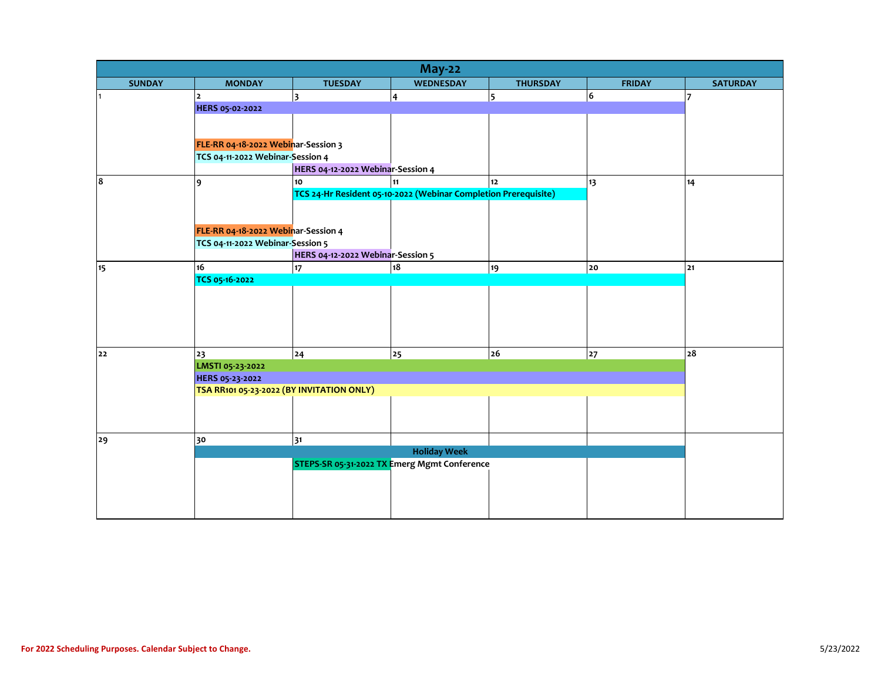| <b>May-22</b> |                                           |                                                                 |                                              |                 |               |                 |  |  |  |
|---------------|-------------------------------------------|-----------------------------------------------------------------|----------------------------------------------|-----------------|---------------|-----------------|--|--|--|
| <b>SUNDAY</b> | <b>MONDAY</b>                             | <b>TUESDAY</b>                                                  | <b>WEDNESDAY</b>                             | <b>THURSDAY</b> | <b>FRIDAY</b> | <b>SATURDAY</b> |  |  |  |
|               | $\overline{2}$                            | $\overline{\mathbf{3}}$                                         | $\overline{\mathbf{4}}$                      | 5               | 6             | 17              |  |  |  |
|               | HERS 05-02-2022                           |                                                                 |                                              |                 |               |                 |  |  |  |
|               |                                           |                                                                 |                                              |                 |               |                 |  |  |  |
|               |                                           |                                                                 |                                              |                 |               |                 |  |  |  |
|               | FLE-RR 04-18-2022 Webinar-Session 3       |                                                                 |                                              |                 |               |                 |  |  |  |
|               | TCS 04-11-2022 Webinar-Session 4          |                                                                 |                                              |                 |               |                 |  |  |  |
|               |                                           | HERS 04-12-2022 Webinar-Session 4                               |                                              |                 |               |                 |  |  |  |
| 8             | 9                                         | 10                                                              | 11                                           | 12              | 13            | 14              |  |  |  |
|               |                                           | TCS 24-Hr Resident 05-10-2022 (Webinar Completion Prerequisite) |                                              |                 |               |                 |  |  |  |
|               |                                           |                                                                 |                                              |                 |               |                 |  |  |  |
|               |                                           |                                                                 |                                              |                 |               |                 |  |  |  |
|               | FLE-RR 04-18-2022 Webinar-Session 4       |                                                                 |                                              |                 |               |                 |  |  |  |
|               | TCS 04-11-2022 Webinar-Session 5          |                                                                 |                                              |                 |               |                 |  |  |  |
|               |                                           | HERS 04-12-2022 Webinar-Session 5                               |                                              |                 |               |                 |  |  |  |
| 15            | 16                                        | $17 \overline{ }$                                               | 18                                           | 19              | 20            | 21              |  |  |  |
|               | TCS 05-16-2022                            |                                                                 |                                              |                 |               |                 |  |  |  |
|               |                                           |                                                                 |                                              |                 |               |                 |  |  |  |
|               |                                           |                                                                 |                                              |                 |               |                 |  |  |  |
|               |                                           |                                                                 |                                              |                 |               |                 |  |  |  |
|               |                                           |                                                                 |                                              |                 |               |                 |  |  |  |
|               |                                           |                                                                 |                                              |                 |               |                 |  |  |  |
| 22            | 23                                        | 24                                                              | 25                                           | 26              | 27            | 28              |  |  |  |
|               | LMSTI 05-23-2022                          |                                                                 |                                              |                 |               |                 |  |  |  |
|               | HERS 05-23-2022                           |                                                                 |                                              |                 |               |                 |  |  |  |
|               | TSA RR101 05-23-2022 (BY INVITATION ONLY) |                                                                 |                                              |                 |               |                 |  |  |  |
|               |                                           |                                                                 |                                              |                 |               |                 |  |  |  |
|               |                                           |                                                                 |                                              |                 |               |                 |  |  |  |
|               |                                           |                                                                 |                                              |                 |               |                 |  |  |  |
| 29            | 30                                        | 31                                                              | <b>Holiday Week</b>                          |                 |               |                 |  |  |  |
|               |                                           |                                                                 | STEPS-SR 05-31-2022 TX Emerg Mgmt Conference |                 |               |                 |  |  |  |
|               |                                           |                                                                 |                                              |                 |               |                 |  |  |  |
|               |                                           |                                                                 |                                              |                 |               |                 |  |  |  |
|               |                                           |                                                                 |                                              |                 |               |                 |  |  |  |
|               |                                           |                                                                 |                                              |                 |               |                 |  |  |  |
|               |                                           |                                                                 |                                              |                 |               |                 |  |  |  |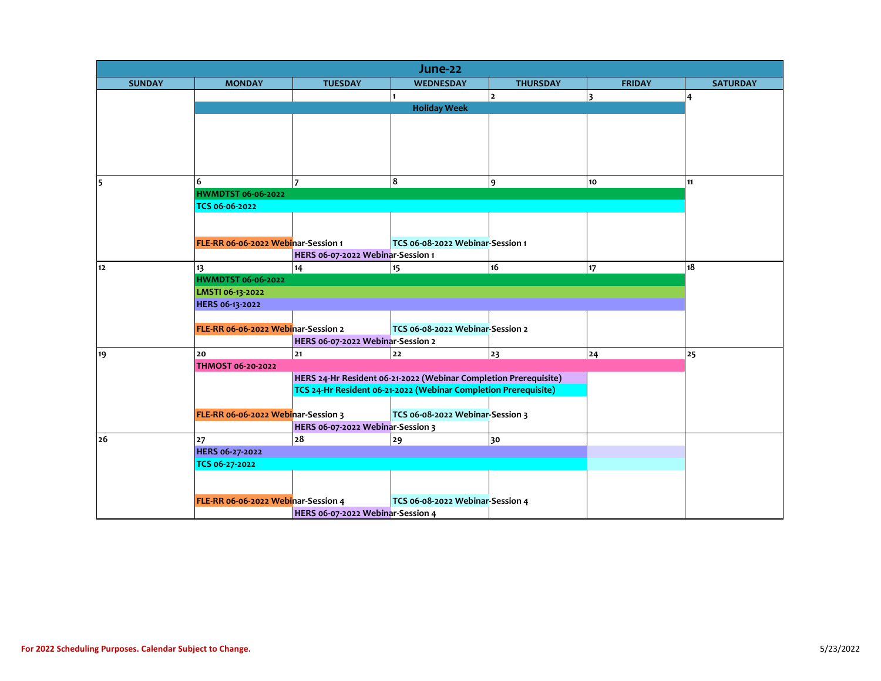| June-22       |                                     |                                   |                                                                  |                 |               |                 |  |  |  |
|---------------|-------------------------------------|-----------------------------------|------------------------------------------------------------------|-----------------|---------------|-----------------|--|--|--|
| <b>SUNDAY</b> | <b>MONDAY</b>                       | <b>TUESDAY</b>                    | <b>WEDNESDAY</b>                                                 | <b>THURSDAY</b> | <b>FRIDAY</b> | <b>SATURDAY</b> |  |  |  |
|               |                                     |                                   |                                                                  | $\overline{2}$  | 3             | 4               |  |  |  |
|               |                                     |                                   | <b>Holiday Week</b>                                              |                 |               |                 |  |  |  |
|               |                                     |                                   |                                                                  |                 |               |                 |  |  |  |
|               |                                     |                                   |                                                                  |                 |               |                 |  |  |  |
|               |                                     |                                   |                                                                  |                 |               |                 |  |  |  |
|               |                                     |                                   |                                                                  |                 |               |                 |  |  |  |
|               |                                     |                                   |                                                                  |                 |               |                 |  |  |  |
| 5             | 6                                   |                                   | 8                                                                | 9               | 10            | 11              |  |  |  |
|               | <b>HWMDTST 06-06-2022</b>           |                                   |                                                                  |                 |               |                 |  |  |  |
|               | TCS 06-06-2022                      |                                   |                                                                  |                 |               |                 |  |  |  |
|               |                                     |                                   |                                                                  |                 |               |                 |  |  |  |
|               | FLE-RR 06-06-2022 Webinar-Session 1 |                                   | TCS 06-08-2022 Webinar-Session 1                                 |                 |               |                 |  |  |  |
|               |                                     | HERS 06-07-2022 Webinar-Session 1 |                                                                  |                 |               |                 |  |  |  |
| $12$          | 13                                  | 14                                | 15                                                               | 16              | 17            | 18              |  |  |  |
|               | <b>HWMDTST 06-06-2022</b>           |                                   |                                                                  |                 |               |                 |  |  |  |
|               | LMSTI 06-13-2022                    |                                   |                                                                  |                 |               |                 |  |  |  |
|               | HERS 06-13-2022                     |                                   |                                                                  |                 |               |                 |  |  |  |
|               |                                     |                                   |                                                                  |                 |               |                 |  |  |  |
|               | FLE-RR 06-06-2022 Webinar-Session 2 |                                   |                                                                  |                 |               |                 |  |  |  |
|               |                                     | HERS 06-07-2022 Webinar-Session 2 |                                                                  |                 |               |                 |  |  |  |
| 19            | 20                                  | $21$                              | $22$                                                             | 23              | 24            | 25              |  |  |  |
|               | <b>THMOST 06-20-2022</b>            |                                   |                                                                  |                 |               |                 |  |  |  |
|               |                                     |                                   | HERS 24-Hr Resident 06-21-2022 (Webinar Completion Prerequisite) |                 |               |                 |  |  |  |
|               |                                     |                                   | TCS 24-Hr Resident 06-21-2022 (Webinar Completion Prerequisite)  |                 |               |                 |  |  |  |
|               |                                     |                                   |                                                                  |                 |               |                 |  |  |  |
|               | FLE-RR 06-06-2022 Webinar-Session 3 |                                   | TCS 06-08-2022 Webinar-Session 3                                 |                 |               |                 |  |  |  |
|               |                                     | HERS 06-07-2022 Webinar-Session 3 |                                                                  |                 |               |                 |  |  |  |
| 26            | 27                                  | ${\bf 28}$                        | 29                                                               | 30              |               |                 |  |  |  |
|               | HERS 06-27-2022                     |                                   |                                                                  |                 |               |                 |  |  |  |
|               | TCS 06-27-2022                      |                                   |                                                                  |                 |               |                 |  |  |  |
|               |                                     |                                   |                                                                  |                 |               |                 |  |  |  |
|               | FLE-RR 06-06-2022 Webinar-Session 4 |                                   | TCS 06-08-2022 Webinar-Session 4                                 |                 |               |                 |  |  |  |
|               |                                     | HERS 06-07-2022 Webinar-Session 4 |                                                                  |                 |               |                 |  |  |  |
|               |                                     |                                   |                                                                  |                 |               |                 |  |  |  |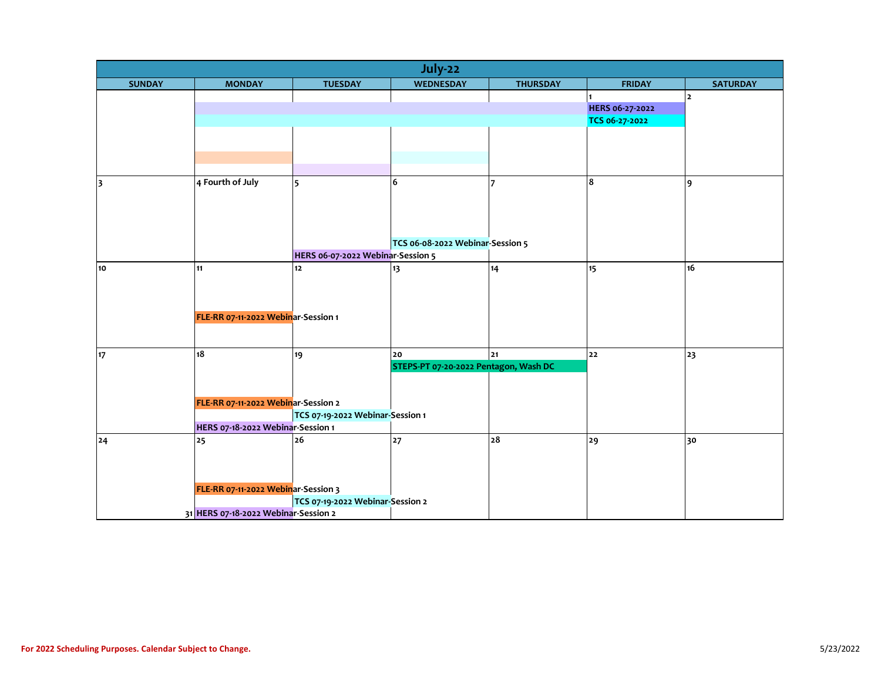| July-22                 |                                      |                                   |                                       |                 |                 |                 |  |  |
|-------------------------|--------------------------------------|-----------------------------------|---------------------------------------|-----------------|-----------------|-----------------|--|--|
| <b>SUNDAY</b>           | <b>MONDAY</b>                        | <b>TUESDAY</b>                    | WEDNESDAY                             | <b>THURSDAY</b> | <b>FRIDAY</b>   | <b>SATURDAY</b> |  |  |
|                         |                                      |                                   |                                       |                 |                 | $\mathbf 2$     |  |  |
|                         |                                      |                                   |                                       |                 | HERS 06-27-2022 |                 |  |  |
|                         |                                      |                                   |                                       |                 | TCS 06-27-2022  |                 |  |  |
|                         |                                      |                                   |                                       |                 |                 |                 |  |  |
|                         |                                      |                                   |                                       |                 |                 |                 |  |  |
|                         |                                      |                                   |                                       |                 |                 |                 |  |  |
| $\overline{\mathbf{3}}$ | 4 Fourth of July                     | 5                                 | 6                                     |                 | 8               | 9               |  |  |
|                         |                                      |                                   |                                       |                 |                 |                 |  |  |
|                         |                                      |                                   |                                       |                 |                 |                 |  |  |
|                         |                                      |                                   |                                       |                 |                 |                 |  |  |
|                         |                                      |                                   |                                       |                 |                 |                 |  |  |
|                         |                                      |                                   | TCS 06-08-2022 Webinar-Session 5      |                 |                 |                 |  |  |
|                         |                                      | HERS 06-07-2022 Webinar-Session 5 |                                       |                 |                 |                 |  |  |
| 10                      | 11                                   | 12                                | 13                                    | 14              | 15              | 16              |  |  |
|                         |                                      |                                   |                                       |                 |                 |                 |  |  |
|                         |                                      |                                   |                                       |                 |                 |                 |  |  |
|                         | FLE-RR 07-11-2022 Webinar-Session 1  |                                   |                                       |                 |                 |                 |  |  |
|                         |                                      |                                   |                                       |                 |                 |                 |  |  |
|                         |                                      |                                   |                                       |                 |                 |                 |  |  |
| 17                      | 18                                   | 19                                | 20                                    | 21              | 22              | 23              |  |  |
|                         |                                      |                                   | STEPS-PT 07-20-2022 Pentagon, Wash DC |                 |                 |                 |  |  |
|                         |                                      |                                   |                                       |                 |                 |                 |  |  |
|                         |                                      |                                   |                                       |                 |                 |                 |  |  |
|                         | FLE-RR 07-11-2022 Webinar-Session 2  |                                   |                                       |                 |                 |                 |  |  |
|                         | HERS 07-18-2022 Webinar-Session 1    | TCS 07-19-2022 Webinar-Session 1  |                                       |                 |                 |                 |  |  |
| 24                      | 25                                   | 26                                | 27                                    | 28              | 29              | 30              |  |  |
|                         |                                      |                                   |                                       |                 |                 |                 |  |  |
|                         |                                      |                                   |                                       |                 |                 |                 |  |  |
|                         |                                      |                                   |                                       |                 |                 |                 |  |  |
|                         | FLE-RR 07-11-2022 Webinar-Session 3  |                                   |                                       |                 |                 |                 |  |  |
|                         |                                      | TCS 07-19-2022 Webinar-Session 2  |                                       |                 |                 |                 |  |  |
|                         | 31 HERS 07-18-2022 Webinar-Session 2 |                                   |                                       |                 |                 |                 |  |  |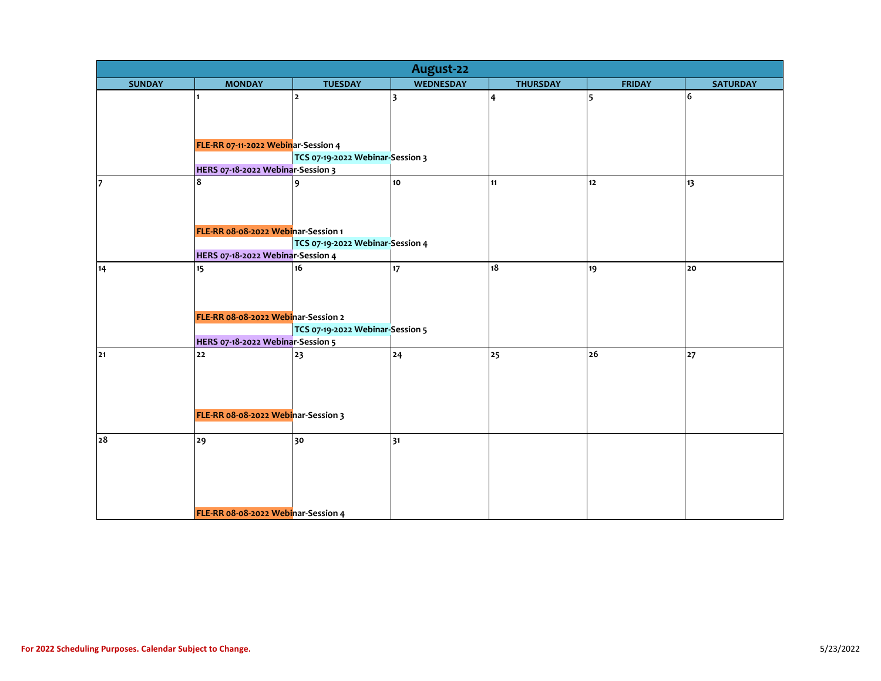| August-22     |                                        |                                  |                  |                 |               |                 |  |  |
|---------------|----------------------------------------|----------------------------------|------------------|-----------------|---------------|-----------------|--|--|
| <b>SUNDAY</b> | <b>MONDAY</b>                          | <b>TUESDAY</b>                   | <b>WEDNESDAY</b> | <b>THURSDAY</b> | <b>FRIDAY</b> | <b>SATURDAY</b> |  |  |
|               | $\blacksquare$                         | 2                                | 3                | 4               | 5             | 6               |  |  |
|               |                                        |                                  |                  |                 |               |                 |  |  |
|               |                                        |                                  |                  |                 |               |                 |  |  |
|               |                                        |                                  |                  |                 |               |                 |  |  |
|               | FLE-RR 07-11-2022 Webinar-Session 4    |                                  |                  |                 |               |                 |  |  |
|               |                                        | TCS 07-19-2022 Webinar-Session 3 |                  |                 |               |                 |  |  |
|               | HERS 07-18-2022 Webinar-Session 3<br>8 |                                  |                  |                 |               |                 |  |  |
| 17            |                                        | 9                                | 10               | 11              | 12            | 13              |  |  |
|               |                                        |                                  |                  |                 |               |                 |  |  |
|               |                                        |                                  |                  |                 |               |                 |  |  |
|               | FLE-RR 08-08-2022 Webinar-Session 1    |                                  |                  |                 |               |                 |  |  |
|               |                                        | TCS 07-19-2022 Webinar-Session 4 |                  |                 |               |                 |  |  |
|               | HERS 07-18-2022 Webinar-Session 4      |                                  |                  |                 |               |                 |  |  |
| 14            | 15                                     | 16                               | 17               | 18              | 19            | 20              |  |  |
|               |                                        |                                  |                  |                 |               |                 |  |  |
|               |                                        |                                  |                  |                 |               |                 |  |  |
|               |                                        |                                  |                  |                 |               |                 |  |  |
|               | FLE-RR 08-08-2022 Webinar-Session 2    |                                  |                  |                 |               |                 |  |  |
|               |                                        | TCS 07-19-2022 Webinar-Session 5 |                  |                 |               |                 |  |  |
|               | HERS 07-18-2022 Webinar-Session 5      |                                  |                  |                 |               |                 |  |  |
| 21            | 22                                     | 23                               | 24               | 25              | 26            | 27              |  |  |
|               |                                        |                                  |                  |                 |               |                 |  |  |
|               |                                        |                                  |                  |                 |               |                 |  |  |
|               |                                        |                                  |                  |                 |               |                 |  |  |
|               | FLE-RR 08-08-2022 Webinar-Session 3    |                                  |                  |                 |               |                 |  |  |
|               |                                        |                                  |                  |                 |               |                 |  |  |
| 28            | 29                                     | 30                               | 31               |                 |               |                 |  |  |
|               |                                        |                                  |                  |                 |               |                 |  |  |
|               |                                        |                                  |                  |                 |               |                 |  |  |
|               |                                        |                                  |                  |                 |               |                 |  |  |
|               |                                        |                                  |                  |                 |               |                 |  |  |
|               |                                        |                                  |                  |                 |               |                 |  |  |
|               | FLE-RR 08-08-2022 Webinar-Session 4    |                                  |                  |                 |               |                 |  |  |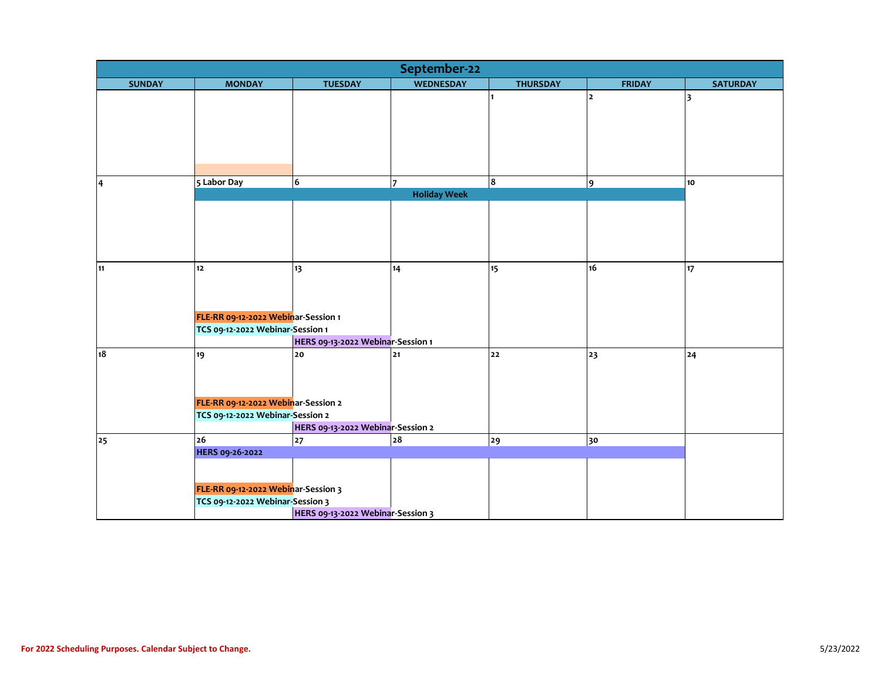| September-22  |                                     |                                   |                     |                 |                |                 |  |  |
|---------------|-------------------------------------|-----------------------------------|---------------------|-----------------|----------------|-----------------|--|--|
| <b>SUNDAY</b> | <b>MONDAY</b>                       | <b>TUESDAY</b>                    | <b>WEDNESDAY</b>    | <b>THURSDAY</b> | <b>FRIDAY</b>  | <b>SATURDAY</b> |  |  |
|               |                                     |                                   |                     |                 | $\overline{2}$ | 3               |  |  |
|               |                                     |                                   |                     |                 |                |                 |  |  |
|               |                                     |                                   |                     |                 |                |                 |  |  |
|               |                                     |                                   |                     |                 |                |                 |  |  |
|               |                                     |                                   |                     |                 |                |                 |  |  |
|               |                                     |                                   |                     |                 |                |                 |  |  |
| $\vert$ 4     | 5 Labor Day                         | 6                                 | 7                   | 8               | 9              | 10 <sub>o</sub> |  |  |
|               |                                     |                                   | <b>Holiday Week</b> |                 |                |                 |  |  |
|               |                                     |                                   |                     |                 |                |                 |  |  |
|               |                                     |                                   |                     |                 |                |                 |  |  |
|               |                                     |                                   |                     |                 |                |                 |  |  |
|               |                                     |                                   |                     |                 |                |                 |  |  |
| 11            | 12                                  | 13                                | 14                  | 15              | 16             | 17              |  |  |
|               |                                     |                                   |                     |                 |                |                 |  |  |
|               |                                     |                                   |                     |                 |                |                 |  |  |
|               |                                     |                                   |                     |                 |                |                 |  |  |
|               | FLE-RR 09-12-2022 Webinar-Session 1 |                                   |                     |                 |                |                 |  |  |
|               | TCS 09-12-2022 Webinar-Session 1    |                                   |                     |                 |                |                 |  |  |
|               |                                     | HERS 09-13-2022 Webinar-Session 1 |                     |                 |                |                 |  |  |
| 18            | 19                                  | 20                                | 21                  | 22              | 23             | 24              |  |  |
|               |                                     |                                   |                     |                 |                |                 |  |  |
|               |                                     |                                   |                     |                 |                |                 |  |  |
|               | FLE-RR 09-12-2022 Webinar-Session 2 |                                   |                     |                 |                |                 |  |  |
|               | TCS 09-12-2022 Webinar-Session 2    |                                   |                     |                 |                |                 |  |  |
|               |                                     | HERS 09-13-2022 Webinar-Session 2 |                     |                 |                |                 |  |  |
| 25            | 26                                  | 27                                | 28                  | 29              | 30             |                 |  |  |
|               | <b>HERS 09-26-2022</b>              |                                   |                     |                 |                |                 |  |  |
|               |                                     |                                   |                     |                 |                |                 |  |  |
|               |                                     |                                   |                     |                 |                |                 |  |  |
|               | FLE-RR 09-12-2022 Webinar-Session 3 |                                   |                     |                 |                |                 |  |  |
|               | TCS 09-12-2022 Webinar-Session 3    |                                   |                     |                 |                |                 |  |  |
|               |                                     | HERS 09-13-2022 Webinar-Session 3 |                     |                 |                |                 |  |  |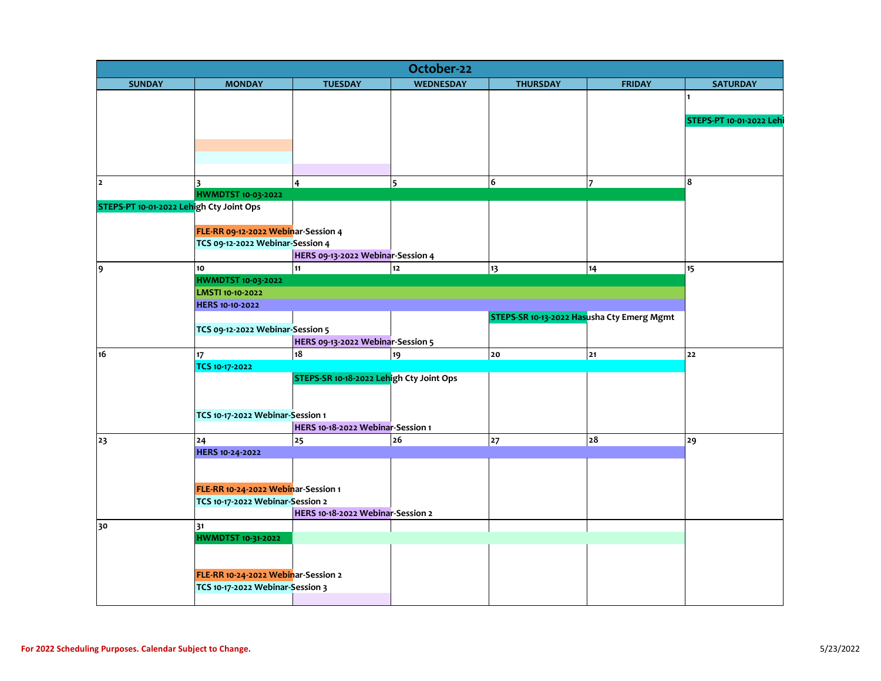| October-22                               |                                     |                                          |                  |                                            |               |                          |  |  |  |
|------------------------------------------|-------------------------------------|------------------------------------------|------------------|--------------------------------------------|---------------|--------------------------|--|--|--|
| <b>SUNDAY</b>                            | <b>MONDAY</b>                       | <b>TUESDAY</b>                           | <b>WEDNESDAY</b> | <b>THURSDAY</b>                            | <b>FRIDAY</b> | <b>SATURDAY</b>          |  |  |  |
|                                          |                                     |                                          |                  |                                            |               |                          |  |  |  |
|                                          |                                     |                                          |                  |                                            |               |                          |  |  |  |
|                                          |                                     |                                          |                  |                                            |               | STEPS-PT 10-01-2022 Lehi |  |  |  |
|                                          |                                     |                                          |                  |                                            |               |                          |  |  |  |
|                                          |                                     |                                          |                  |                                            |               |                          |  |  |  |
|                                          |                                     |                                          |                  |                                            |               |                          |  |  |  |
| $\mathbf{z}$                             | $\overline{\mathbf{3}}$             | $\overline{4}$                           | 5                | 6                                          | 7             | 8                        |  |  |  |
|                                          | <b>HWMDTST 10-03-2022</b>           |                                          |                  |                                            |               |                          |  |  |  |
| STEPS-PT 10-01-2022 Lehigh Cty Joint Ops |                                     |                                          |                  |                                            |               |                          |  |  |  |
|                                          |                                     |                                          |                  |                                            |               |                          |  |  |  |
|                                          | FLE-RR 09-12-2022 Webinar-Session 4 |                                          |                  |                                            |               |                          |  |  |  |
|                                          | TCS 09-12-2022 Webinar-Session 4    |                                          |                  |                                            |               |                          |  |  |  |
|                                          |                                     | HERS 09-13-2022 Webinar-Session 4        |                  |                                            |               |                          |  |  |  |
| 9                                        | 10                                  | 11                                       | $12$             | 13                                         | 14            | 15                       |  |  |  |
|                                          | <b>HWMDTST 10-03-2022</b>           |                                          |                  |                                            |               |                          |  |  |  |
|                                          | LMSTI 10-10-2022                    |                                          |                  |                                            |               |                          |  |  |  |
|                                          | <b>HERS 10-10-2022</b>              |                                          |                  |                                            |               |                          |  |  |  |
|                                          |                                     |                                          |                  | STEPS-SR 10-13-2022 Hasusha Cty Emerg Mgmt |               |                          |  |  |  |
|                                          | TCS 09-12-2022 Webinar-Session 5    |                                          |                  |                                            |               |                          |  |  |  |
|                                          |                                     | HERS 09-13-2022 Webinar-Session 5        |                  |                                            |               |                          |  |  |  |
| 16                                       | 17 <sub>17</sub>                    | 18                                       | 19               | 20                                         | 21            | 22                       |  |  |  |
|                                          | TCS 10-17-2022                      |                                          |                  |                                            |               |                          |  |  |  |
|                                          |                                     | STEPS-SR 10-18-2022 Lehigh Cty Joint Ops |                  |                                            |               |                          |  |  |  |
|                                          |                                     |                                          |                  |                                            |               |                          |  |  |  |
|                                          | TCS 10-17-2022 Webinar-Session 1    |                                          |                  |                                            |               |                          |  |  |  |
|                                          |                                     | HERS 10-18-2022 Webinar-Session 1        |                  |                                            |               |                          |  |  |  |
| 23                                       | 24                                  | 25                                       | 26               | 27                                         | 28            | 29                       |  |  |  |
|                                          | HERS 10-24-2022                     |                                          |                  |                                            |               |                          |  |  |  |
|                                          |                                     |                                          |                  |                                            |               |                          |  |  |  |
|                                          |                                     |                                          |                  |                                            |               |                          |  |  |  |
|                                          | FLE-RR 10-24-2022 Webinar-Session 1 |                                          |                  |                                            |               |                          |  |  |  |
|                                          | TCS 10-17-2022 Webinar-Session 2    |                                          |                  |                                            |               |                          |  |  |  |
|                                          |                                     | HERS 10-18-2022 Webinar-Session 2        |                  |                                            |               |                          |  |  |  |
| 30                                       | 31                                  |                                          |                  |                                            |               |                          |  |  |  |
|                                          | <b>HWMDTST 10-31-2022</b>           |                                          |                  |                                            |               |                          |  |  |  |
|                                          |                                     |                                          |                  |                                            |               |                          |  |  |  |
|                                          |                                     |                                          |                  |                                            |               |                          |  |  |  |
|                                          | FLE-RR 10-24-2022 Webinar-Session 2 |                                          |                  |                                            |               |                          |  |  |  |
|                                          | TCS 10-17-2022 Webinar-Session 3    |                                          |                  |                                            |               |                          |  |  |  |
|                                          |                                     |                                          |                  |                                            |               |                          |  |  |  |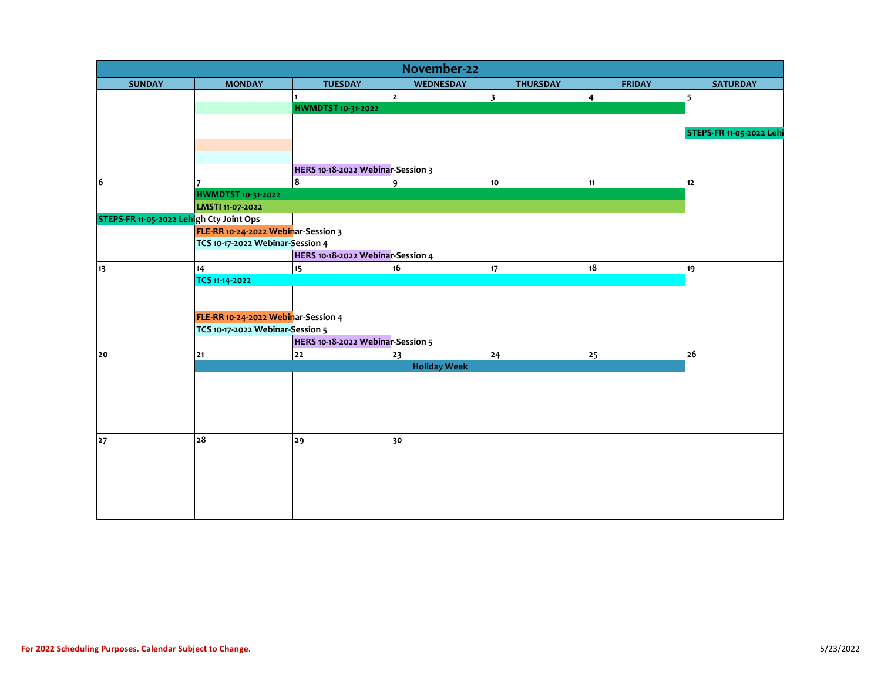| November-22                              |                                     |                                   |                     |                 |                |                          |  |  |
|------------------------------------------|-------------------------------------|-----------------------------------|---------------------|-----------------|----------------|--------------------------|--|--|
| <b>SUNDAY</b>                            | <b>MONDAY</b>                       | <b>TUESDAY</b>                    | <b>WEDNESDAY</b>    | <b>THURSDAY</b> | <b>FRIDAY</b>  | <b>SATURDAY</b>          |  |  |
|                                          |                                     |                                   | <u> 2</u>           | 3               | $\overline{4}$ | 5                        |  |  |
|                                          |                                     | <b>HWMDTST 10-31-2022</b>         |                     |                 |                |                          |  |  |
|                                          |                                     |                                   |                     |                 |                |                          |  |  |
|                                          |                                     |                                   |                     |                 |                | STEPS-FR 11-05-2022 Lehi |  |  |
|                                          |                                     |                                   |                     |                 |                |                          |  |  |
|                                          |                                     |                                   |                     |                 |                |                          |  |  |
|                                          |                                     | HERS 10-18-2022 Webinar-Session 3 |                     |                 |                |                          |  |  |
| 6                                        |                                     | $\overline{\mathbf{8}}$           | 9                   | 10              | 11             | $12$                     |  |  |
|                                          | <b>HWMDTST 10-31-2022</b>           |                                   |                     |                 |                |                          |  |  |
|                                          | LMSTI 11-07-2022                    |                                   |                     |                 |                |                          |  |  |
| STEPS-FR 11-05-2022 Lehigh Cty Joint Ops |                                     |                                   |                     |                 |                |                          |  |  |
|                                          | FLE-RR 10-24-2022 Webinar-Session 3 |                                   |                     |                 |                |                          |  |  |
|                                          | TCS 10-17-2022 Webinar-Session 4    |                                   |                     |                 |                |                          |  |  |
|                                          |                                     | HERS 10-18-2022 Webinar-Session 4 |                     |                 |                |                          |  |  |
| 13                                       | 14                                  | 15                                | 16                  | 17              | 18             | 19                       |  |  |
|                                          | TCS 11-14-2022                      |                                   |                     |                 |                |                          |  |  |
|                                          |                                     |                                   |                     |                 |                |                          |  |  |
|                                          |                                     |                                   |                     |                 |                |                          |  |  |
|                                          | FLE-RR 10-24-2022 Webinar-Session 4 |                                   |                     |                 |                |                          |  |  |
|                                          | TCS 10-17-2022 Webinar-Session 5    |                                   |                     |                 |                |                          |  |  |
|                                          |                                     | HERS 10-18-2022 Webinar-Session 5 |                     |                 |                |                          |  |  |
| 20                                       | 21                                  | 22                                | 23                  | 24              | 25             | 26                       |  |  |
|                                          |                                     |                                   | <b>Holiday Week</b> |                 |                |                          |  |  |
|                                          |                                     |                                   |                     |                 |                |                          |  |  |
|                                          |                                     |                                   |                     |                 |                |                          |  |  |
|                                          |                                     |                                   |                     |                 |                |                          |  |  |
|                                          |                                     |                                   |                     |                 |                |                          |  |  |
|                                          | 28                                  | 29                                | 30                  |                 |                |                          |  |  |
| 27                                       |                                     |                                   |                     |                 |                |                          |  |  |
|                                          |                                     |                                   |                     |                 |                |                          |  |  |
|                                          |                                     |                                   |                     |                 |                |                          |  |  |
|                                          |                                     |                                   |                     |                 |                |                          |  |  |
|                                          |                                     |                                   |                     |                 |                |                          |  |  |
|                                          |                                     |                                   |                     |                 |                |                          |  |  |
|                                          |                                     |                                   |                     |                 |                |                          |  |  |